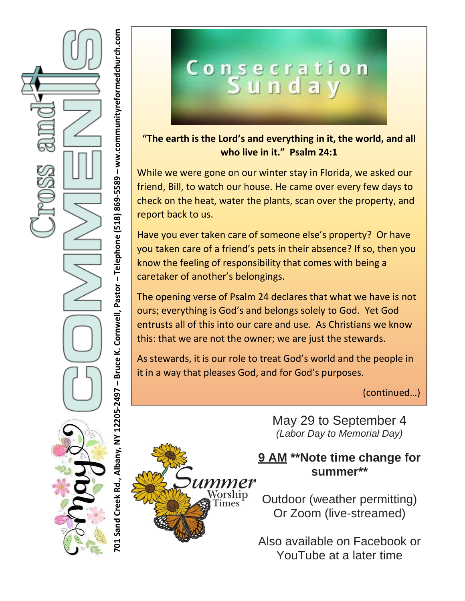

# Consecration<br>Sunday

**"The earth is the Lord's and everything in it, the world, and all who live in it." Psalm 24:1**

While we were gone on our winter stay in Florida, we asked our friend, Bill, to watch our house. He came over every few days to check on the heat, water the plants, scan over the property, and report back to us.

Have you ever taken care of someone else's property? Or have you taken care of a friend's pets in their absence? If so, then you know the feeling of responsibility that comes with being a caretaker of another's belongings.

The opening verse of Psalm 24 declares that what we have is not ours; everything is God's and belongs solely to God. Yet God entrusts all of this into our care and use. As Christians we know this: that we are not the owner; we are just the stewards.

As stewards, it is our role to treat God's world and the people in it in a way that pleases God, and for God's purposes.

(continued…)



May 29 to September 4 *(Labor Day to Memorial Day)*

## **9 AM \*\*Note time change for summer\*\***

Outdoor (weather permitting) Or Zoom (live-streamed)

Also available on Facebook or YouTube at a later time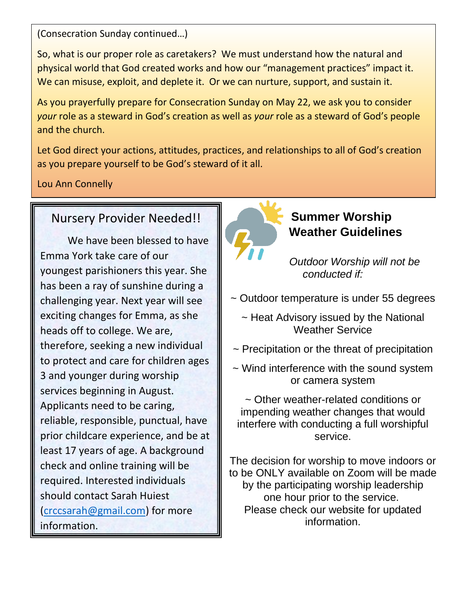(Consecration Sunday continued…)

So, what is our proper role as caretakers? We must understand how the natural and physical world that God created works and how our "management practices" impact it. We can misuse, exploit, and deplete it. Or we can nurture, support, and sustain it.

As you prayerfully prepare for Consecration Sunday on May 22, we ask you to consider *your* role as a steward in God's creation as well as *your* role as a steward of God's people and the church.

Let God direct your actions, attitudes, practices, and relationships to all of God's creation as you prepare yourself to be God's steward of it all.

Lou Ann Connelly

### Nursery Provider Needed!!

We have been blessed to have Emma York take care of our youngest parishioners this year. She has been a ray of sunshine during a challenging year. Next year will see exciting changes for Emma, as she heads off to college. We are, therefore, seeking a new individual to protect and care for children ages 3 and younger during worship services beginning in August. Applicants need to be caring, reliable, responsible, punctual, have prior childcare experience, and be at least 17 years of age. A background check and online training will be required. Interested individuals should contact Sarah Huiest [\(crccsarah@gmail.com\)](mailto:crccsarah@gmail.com) for more information.



### **Summer Worship Weather Guidelines**

*Outdoor Worship will not be conducted if:*

- ~ Outdoor temperature is under 55 degrees
	- $\sim$  Heat Advisory issued by the National Weather Service
- ~ Precipitation or the threat of precipitation
- ~ Wind interference with the sound system or camera system

~ Other weather-related conditions or impending weather changes that would interfere with conducting a full worshipful service.

The decision for worship to move indoors or to be ONLY available on Zoom will be made by the participating worship leadership one hour prior to the service. Please check our website for updated information.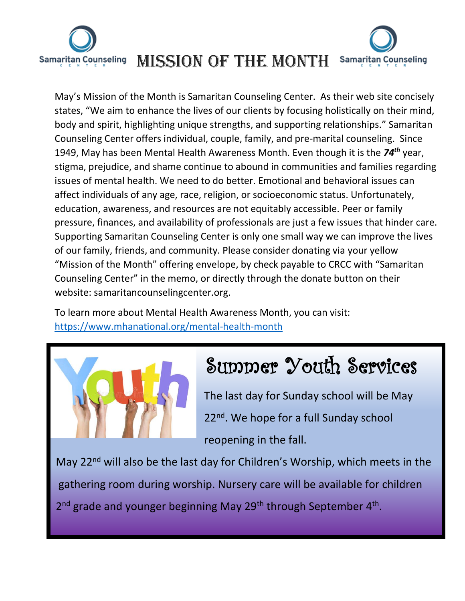

# **Samaritan Counseling**

May's Mission of the Month is Samaritan Counseling Center. As their web site concisely states, "We aim to enhance the lives of our clients by focusing holistically on their mind, body and spirit, highlighting unique strengths, and supporting relationships." Samaritan Counseling Center offers individual, couple, family, and pre-marital counseling. Since 1949, May has been Mental Health Awareness Month. Even though it is the *74th* year, stigma, prejudice, and shame continue to abound in communities and families regarding issues of mental health. We need to do better. Emotional and behavioral issues can affect individuals of any age, race, religion, or socioeconomic status. Unfortunately, education, awareness, and resources are not equitably accessible. Peer or family pressure, finances, and availability of professionals are just a few issues that hinder care. Supporting Samaritan Counseling Center is only one small way we can improve the lives of our family, friends, and community. Please consider donating via your yellow "Mission of the Month" offering envelope, by check payable to CRCC with "Samaritan Counseling Center" in the memo, or directly through the donate button on their website: samaritancounselingcenter.org.

To learn more about Mental Health Awareness Month, you can visit: <https://www.mhanational.org/mental-health-month>



## Summer Youth Services

 The last day for Sunday school will be May 22<sup>nd</sup>. We hope for a full Sunday school reopening in the fall.

May 22<sup>nd</sup> will also be the last day for Children's Worship, which meets in the gathering room during worship. Nursery care will be available for children 2<sup>nd</sup> grade and younger beginning May 29<sup>th</sup> through September 4<sup>th</sup>.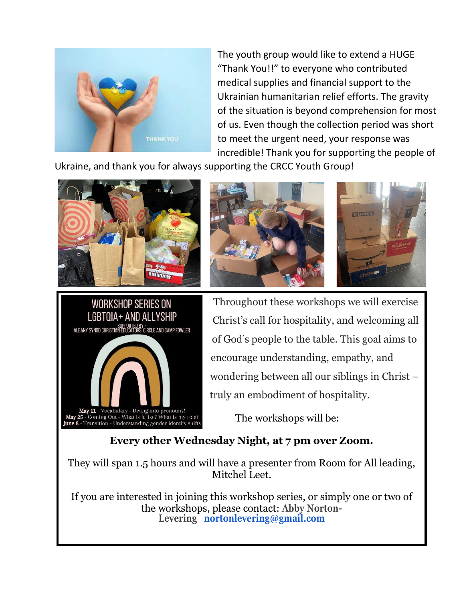

The youth group would like to extend a HUGE "Thank You!!" to everyone who contributed medical supplies and financial support to the Ukrainian humanitarian relief efforts. The gravity of the situation is beyond comprehension for most of us. Even though the collection period was short to meet the urgent need, your response was incredible! Thank you for supporting the people of

Ukraine, and thank you for always supporting the CRCC Youth Group!









WORKSHOP SERIES ON Throughout these workshops we will exercise LGBTQIA+ AND ALLYSHIP<br>
Christ's call for hospitality, and welcoming all<br>  $\frac{1}{2}$ <br>
ALBANY SYNOD CHRISTIAN FOURATIONS CIRICA INDICATORS of God's people to the table. This goal aims to encourage understanding, empathy, and wondering between all our siblings in Christ – truly an embodiment of hospitality.

## **Every other Wednesday Night, at 7 pm over Zoom.**

They will span 1.5 hours and will have a presenter from Room for All leading, Mitchel Leet.

If you are interested in joining this workshop series, or simply one or two of the workshops, please contact: **Abby Norton-Levering [nortonlevering@gmail.com](mailto:nortonlevering@gmail.com)**